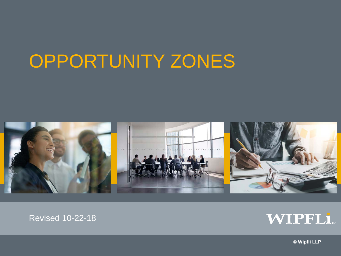## OPPORTUNITY ZONES



#### Revised 10-22-18



**© Wipfli LLP**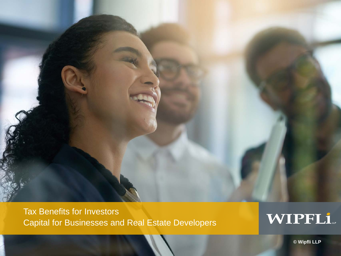

Tax Benefits for Investors Capital for Businesses and Real Estate Developers

## WIPFLi

**© Wipfli LLP**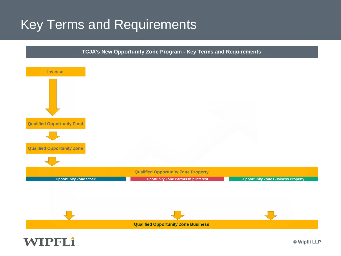### Key Terms and Requirements



**WIPFLi.**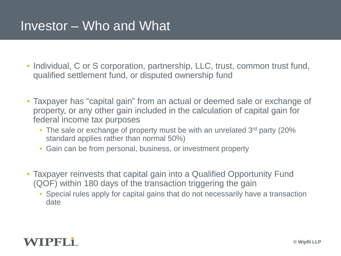#### Investor – Who and What

- Individual, C or S corporation, partnership, LLC, trust, common trust fund, qualified settlement fund, or disputed ownership fund
- Taxpayer has "capital gain" from an actual or deemed sale or exchange of property, or any other gain included in the calculation of capital gain for federal income tax purposes
	- The sale or exchange of property must be with an unrelated 3<sup>rd</sup> party (20%) standard applies rather than normal 50%)
	- Gain can be from personal, business, or investment property
- Taxpayer reinvests that capital gain into a Qualified Opportunity Fund (QOF) within 180 days of the transaction triggering the gain
	- Special rules apply for capital gains that do not necessarily have a transaction date

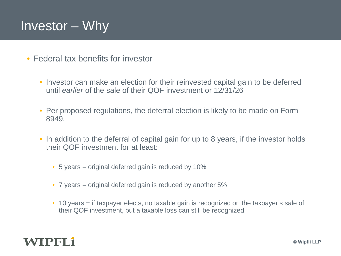#### Investor – Why

- Federal tax benefits for investor
	- Investor can make an election for their reinvested capital gain to be deferred until *earlier* of the sale of their QOF investment or 12/31/26
	- Per proposed regulations, the deferral election is likely to be made on Form 8949.
	- In addition to the deferral of capital gain for up to 8 years, if the investor holds their QOF investment for at least:
		- 5 years = original deferred gain is reduced by 10%
		- 7 years = original deferred gain is reduced by another 5%
		- 10 years = if taxpayer elects, no taxable gain is recognized on the taxpayer's sale of their QOF investment, but a taxable loss can still be recognized

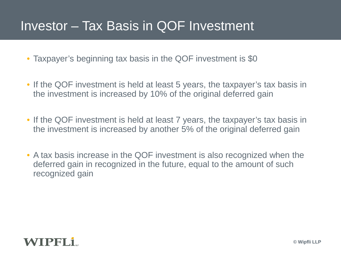#### Investor – Tax Basis in QOF Investment

- Taxpayer's beginning tax basis in the QOF investment is \$0
- If the QOF investment is held at least 5 years, the taxpayer's tax basis in the investment is increased by 10% of the original deferred gain
- If the QOF investment is held at least 7 years, the taxpayer's tax basis in the investment is increased by another 5% of the original deferred gain
- A tax basis increase in the QOF investment is also recognized when the deferred gain in recognized in the future, equal to the amount of such recognized gain

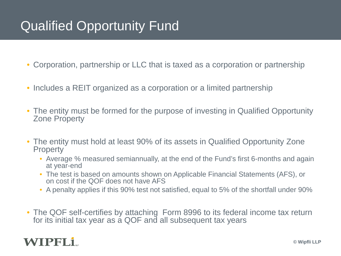#### Qualified Opportunity Fund

• Corporation, partnership or LLC that is taxed as a corporation or partnership

- Includes a REIT organized as a corporation or a limited partnership
- The entity must be formed for the purpose of investing in Qualified Opportunity Zone Property
- The entity must hold at least 90% of its assets in Qualified Opportunity Zone **Property** 
	- Average % measured semiannually, at the end of the Fund's first 6-months and again at year-end
	- The test is based on amounts shown on Applicable Financial Statements (AFS), or on cost if the QOF does not have AFS
	- A penalty applies if this 90% test not satisfied, equal to 5% of the shortfall under 90%
- The QOF self-certifies by attaching Form 8996 to its federal income tax return for its initial tax year as a QOF and all subsequent tax years

#### WIPFLI.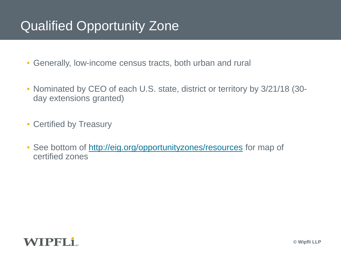#### Qualified Opportunity Zone

- Generally, low-income census tracts, both urban and rural
- Nominated by CEO of each U.S. state, district or territory by 3/21/18 (30 day extensions granted)
- Certified by Treasury
- See bottom of<http://eig.org/opportunityzones/resources> for map of certified zones

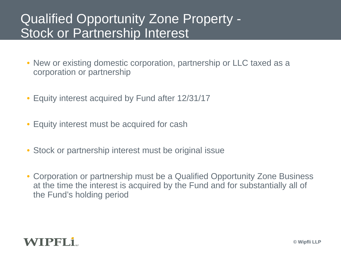#### Qualified Opportunity Zone Property - Stock or Partnership Interest

- New or existing domestic corporation, partnership or LLC taxed as a corporation or partnership
- Equity interest acquired by Fund after 12/31/17
- Equity interest must be acquired for cash
- Stock or partnership interest must be original issue
- Corporation or partnership must be a Qualified Opportunity Zone Business at the time the interest is acquired by the Fund and for substantially all of the Fund's holding period

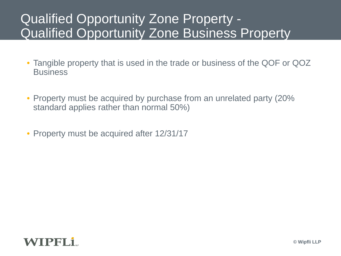#### Qualified Opportunity Zone Property - Qualified Opportunity Zone Business Property

- Tangible property that is used in the trade or business of the QOF or QOZ **Business**
- Property must be acquired by purchase from an unrelated party (20%) standard applies rather than normal 50%)
- Property must be acquired after 12/31/17

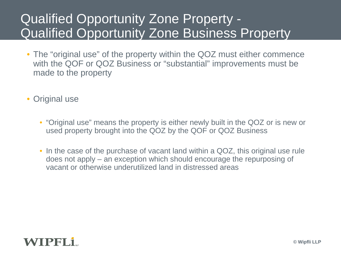#### Qualified Opportunity Zone Property - Qualified Opportunity Zone Business Property

- The "original use" of the property within the QOZ must either commence with the QOF or QOZ Business or "substantial" improvements must be made to the property
- Original use
	- "Original use" means the property is either newly built in the QOZ or is new or used property brought into the QOZ by the QOF or QOZ Business
	- In the case of the purchase of vacant land within a QOZ, this original use rule does not apply – an exception which should encourage the repurposing of vacant or otherwise underutilized land in distressed areas

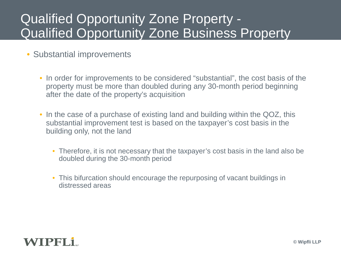#### Qualified Opportunity Zone Property - Qualified Opportunity Zone Business Property

- Substantial improvements
	- In order for improvements to be considered "substantial", the cost basis of the property must be more than doubled during any 30-month period beginning after the date of the property's acquisition
	- In the case of a purchase of existing land and building within the QOZ, this substantial improvement test is based on the taxpayer's cost basis in the building only, not the land
		- Therefore, it is not necessary that the taxpayer's cost basis in the land also be doubled during the 30-month period
		- This bifurcation should encourage the repurposing of vacant buildings in distressed areas

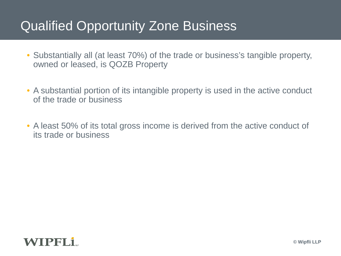#### Qualified Opportunity Zone Business

- Substantially all (at least 70%) of the trade or business's tangible property, owned or leased, is QOZB Property
- A substantial portion of its intangible property is used in the active conduct of the trade or business
- A least 50% of its total gross income is derived from the active conduct of its trade or business

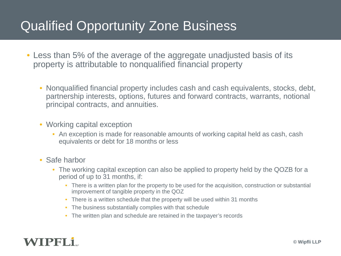#### Qualified Opportunity Zone Business

- Less than 5% of the average of the aggregate unadjusted basis of its property is attributable to nonqualified financial property
	- Nonqualified financial property includes cash and cash equivalents, stocks, debt, partnership interests, options, futures and forward contracts, warrants, notional principal contracts, and annuities.
	- Working capital exception
		- An exception is made for reasonable amounts of working capital held as cash, cash equivalents or debt for 18 months or less
	- Safe harbor
		- The working capital exception can also be applied to property held by the QOZB for a period of up to 31 months, if:
			- There is a written plan for the property to be used for the acquisition, construction or substantial improvement of tangible property in the QOZ
			- There is a written schedule that the property will be used within 31 months
			- The business substantially complies with that schedule
			- The written plan and schedule are retained in the taxpayer's records

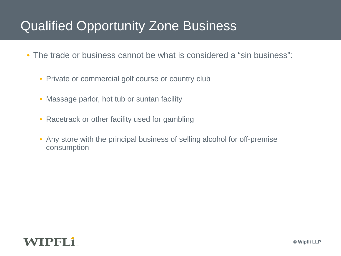#### Qualified Opportunity Zone Business

- The trade or business cannot be what is considered a "sin business":
	- Private or commercial golf course or country club
	- Massage parlor, hot tub or suntan facility
	- Racetrack or other facility used for gambling
	- Any store with the principal business of selling alcohol for off-premise consumption

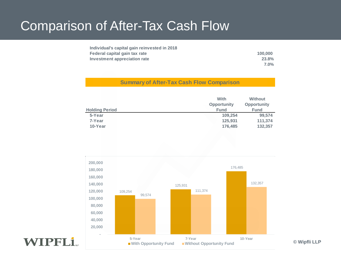#### Comparison of After-Tax Cash Flow

| Individual's capital gain reinvested in 2018 |         |
|----------------------------------------------|---------|
| Federal capital gain tax rate                | 100.000 |
| Investment appreciation rate                 | 23.8%   |
|                                              | $7.0\%$ |

#### **Summary of After-Tax Cash Flow Comparison**

|                       | With               | <b>Without</b>     |
|-----------------------|--------------------|--------------------|
|                       | <b>Opportunity</b> | <b>Opportunity</b> |
| <b>Holding Period</b> | <b>Fund</b>        | <b>Fund</b>        |
| 5-Year                | 109.254            | 99.574             |
| 7-Year                | 125.931            | 111.374            |
| 10-Year               | 176.485            | 132,357            |



**WIPFLi**